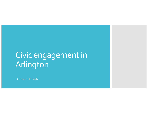# Civic engagement in Arlington

Dr. David K. Rehr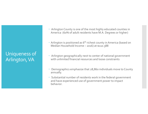# Uniqueness of Arlington, VA

- Arlington County is one of the most highly educated counties in America (60% of adult residents have M.A. Degrees or higher)
- Arlington is positioned as  $6<sup>th</sup>$  richest county in America (based on Median Household Income – 2016) at \$110.388
- Arlington geographically next to center of national government with unlimited financial resources and loose constraints
- Demographics emphasize that 28,860 individuals move to County annually.
- Substantial number of residents work in the federal government and have experienced use of government power to impact behavior.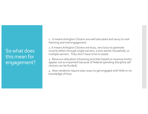So what does this mean for engagement? 1. It means Arlington Citizens are well educated and savvy to real listening and real engagement

2. It means Arlington Citizens are busy, very busy to generate income either through single earners, a two-earner household, or multiple earners. They don't have time to waste.

3. Resource allocation (choosing priorities based on revenue limits) appear not as important because of federal spending discipline (all choices can be funded).

4. New residents require easy ways to get engaged with little or no knowledge of how.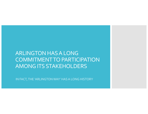# ARLINGTON HAS A LONG COMMITMENT TO PARTICIPATION AMONG ITS STAKEHOLDERS

IN FACT, THE 'ARLINGTON WAY' HAS A LONG HISTORY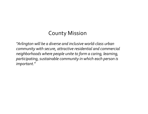# County Mission

*"Arlington will be a diverse and inclusive world-class urban community with secure, attractive residential and commercial neighborhoods where people unite to form a caring, learning, participating, sustainable community in which each person is important*."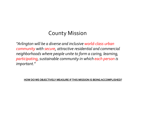# County Mission

*"Arlington will be a diverse and inclusive world-class urban community with secure, attractive residential and commercial neighborhoods where people unite to form a caring, learning, participating, sustainable community in which each person is important*."

**HOW DO WE OBJECTIVELY MEASURE IF THIS MISSION IS BEING ACCOMPLISHED?**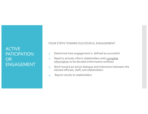#### **ACTIVE PATICIPATION** OR ENGAGEMENT

FOUR STEPS TOWARD SUCCESSFUL ENGAGEMENT

- 1. Determine how engagement is defined as successful
- 2. Need to actively inform stakeholders with complete information to be decided (information outflow)
- 3. Work toward an active dialogue and interaction between the elected officials, staff, and stakeholders
- 4. Report results to stakeholders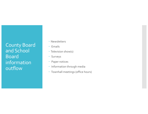County Board and School Board information outflow

- · Newsletters
- Emails
- Television show(s)
- Surveys
- Paper notices
- Information through media
- Townhall meetings (office hours)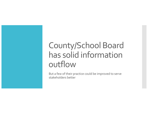# County/School Board has solid information outflow

But a few of their practice could be improved to serve stakeholders better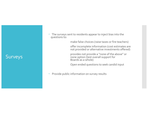### Surveys

 The surveys sent to residents appear to inject bias into the questions to:

make false choices (raise taxes or fire teachers)

offer incomplete information (cost estimates are not provided or alternative investments offered)

provides not provide a "none of the above" or none option (test overall support for Boards as a whole)

Open ended questions to seek candid input

• Provide public information on survey results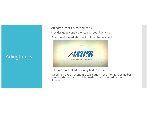## Arlington TV

- Arlington TV has existed since 1981
- Provides good conduit for county board activities
- Not sure it is marketed well to Arlington residents



- This most recent edition only had 105 views
- Need to make an economic calculation if the money is being best spent on this program or if it needs to be marketed better to citizens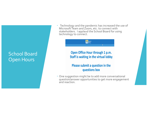### School Board **Open Hours**

 Technology and the pandemic has increased the use of Microsoft Team and Zoom, etc. to connect with stakeholders. I applaud the School Board for using technology to connect.



#### Open Office Hour through 1 p.m. **Staff is waiting in the virtual lobby**

#### Please submit a question in the questions box

 One suggestion might be to add more conversational question/answer opportunities to get more engagement and reaction.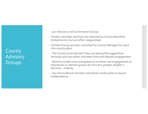County Advisory Groups

- 50+ Advisory and Commission Groups
- People volunteer and then are selected by County Board for limited terms, but are often reappointed
- Certain Groups are also consulted by County Manager for input into county plans
- The County must decide if they are taking the suggestions seriously and not waste volunteer time and depress engagement
- Need to invoke more transparency to foster real engagement so individuals or interest groups do not carry greater weight in decision – making
- Any ties to Board members should be made public to assure independence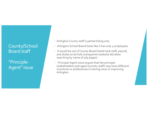### County/School Board staff

"Principle-Agent" issue

- Arlington County staff is partial listing only
- Arlington School Board looks like it has only 4 employees
- It would be nice if County Board listed total staff, payroll, and duties to be fully transparent (website did allow searching by name of 465 pages)
- Principal-Agent issue argues that the principal (stakeholders) and agent (county staff) may have different incentives or preferences in solving issue or improving Arlington.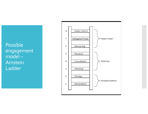Possible engagement model – Arnstein Ladder